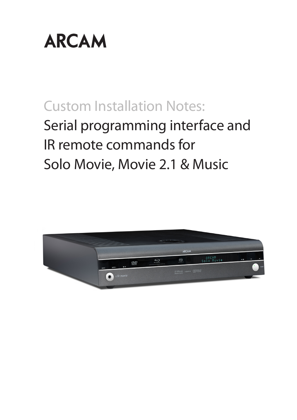

# Custom Installation Notes:

# Serial programming interface and IR remote commands for Solo Movie, Movie 2.1 & Music

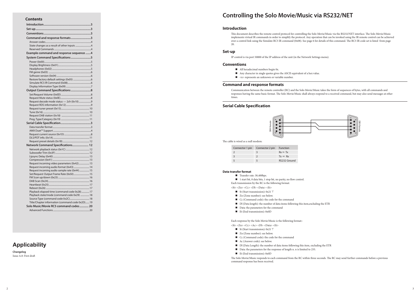## **Contents**

| Command and response formats3                    |
|--------------------------------------------------|
|                                                  |
|                                                  |
|                                                  |
| Example command and response sequence 4          |
| System Command Specifications 5                  |
|                                                  |
|                                                  |
|                                                  |
|                                                  |
|                                                  |
|                                                  |
|                                                  |
|                                                  |
|                                                  |
|                                                  |
|                                                  |
|                                                  |
|                                                  |
|                                                  |
|                                                  |
|                                                  |
|                                                  |
|                                                  |
|                                                  |
|                                                  |
|                                                  |
|                                                  |
|                                                  |
| Network Command Specifications 12                |
|                                                  |
|                                                  |
|                                                  |
|                                                  |
| Request incoming video parameters (0x42) 13      |
| Request incoming audio format (0x43)  14         |
| Request incoming audio sample rate (0x44)  15    |
| Set/Request Output Frame Rate (0x50)  15         |
|                                                  |
|                                                  |
|                                                  |
|                                                  |
| Playback elapsed time (command code 0x28)  17    |
| Playback state/mode (command code 0x29)  18      |
| Title/Chapter information (command code 0x2D) 19 |
| Solo Music/Movie RC5 command codes 20            |
|                                                  |
|                                                  |

Each transmission by the RC is the following format:

 $\langle$ St> $\langle$ Zn> $\langle$ Cc> $\langle$ Dl> $\langle$ Data> $\langle$ Et>

- $\blacksquare$  St (Start transmission): 0x21 '!'
- Zn (Zone number): see below.
- Cc (Command code): the code for the command
- Dl (Data length): the number of data items following this item, excluding the ETR
- Data: the parameters for the command
- Et (End transmission): 0x0D

Each response by the Solo Movie/Music is the following format::

 $<$ St>  $<$ Zn>  $<$ Cc>  $<$ Ac>  $<$ Dl>  $<$ Data>  $<$ Et>

- $\blacksquare$  St (Start transmission): 0x21 '!'
- Zn (Zone number): see below.
- Cc (Command code): the code for the command
- Ac (Answer code): see below.
- Dl (Data Length): the number of data items following this item, excluding the ETR
- Data: the parameters for the response of length n. n is limited to 255.
- Et (End transmission): 0x0D

The Solo Movie/Music responds to each command from the RC within three seconds. The RC may send further commands before a previous command response has been received.

## **Controlling the Solo Movie/Music via RS232/NET**

## **Introduction**

This document describes the remote control protocol for controlling the Solo Movie/Music via the RS232/NET interface. The Solo Movie/Music implements virtual IR commands in order to simplify the protocol. Any operation that can be invoked using the IR remote control can be achieved over a control link using the Simulate RC5 IR command (0x08). See page 6 for details of this command. The RC5 IR code set is listed from page 20.

## **Set-up**

IP control is via port 50000 of the IP address of the unit (in the Network Settings menu).

## **Conventions**

- All hexadecimal numbers begin 0x.
- Any character in single quotes gives the ASCII equivalent of a hex value.
- $\blacksquare$  <n> represents an unknown or variable number.

## **Command and response formats**

Communication between the remote controller (RC) and the Solo Movie/Music takes the form of sequences of bytes, with all commands and responses having the same basic format. The Solo Movie/Music shall always respond to a received command, but may also send messages at other times.

## **Applicability**

**Changelog** Issue A.0: First draft



The cable is wired as a null modem:

| Connector 1 pin | Connector 2 pin | Function            |
|-----------------|-----------------|---------------------|
|                 |                 | $Rx \leftarrow Tx$  |
|                 |                 | $Tx \rightarrow Rx$ |
|                 |                 | RS232 Ground        |

## **Data transfer format**

Transfer rate: 38,400bps.

■ 1 start bit, 8 data bits, 1 stop bit, no parity, no flow control.

## **Serial Cable Specification**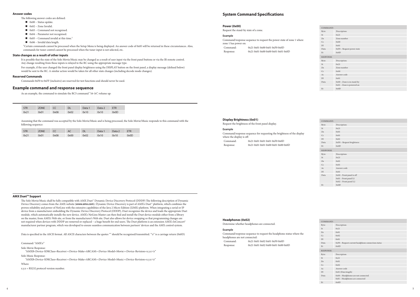## **System Command Specifications**

#### **Power (0x00)**

Request the stand-by state of a zone.

#### **Example**

Command/response sequence to request the power state of zone 1 where zone 1 has power on: Command: 0x21 0x01 0x00 0x01 0xF0 0x0D Response: 0x21 0x01 0x00 0x00 0x01 0x01 0x0D

|  | Display Brightness (0x01) |  |
|--|---------------------------|--|
|--|---------------------------|--|

Request the brightness of the front panel display.

#### **Example**

Command/response sequence for requesting the brightness of the display where the display is off: Command: 0x21 0x01 0x01 0x01 0xF0 0x0D Response: 0x21 0x01 0x01 0x00 0x01 0x00 0x0D

#### **Headphones (0x02)**

Determine whether headphones are connected.

#### **Example**

Command/response sequence to request the headphone status where the headphones are not connected: Command: 0x21 0x01 0x02 0x01 0xF0 0x0D Response: 0x21 0x01 0x02 0x00 0x01 0x00 0x0D

| COMMAND:         |                                                    |
|------------------|----------------------------------------------------|
| Byte:            | Description:                                       |
| St               | 0x21                                               |
| Zn               | 0x01                                               |
| Cc               | 0x02                                               |
| DI               | 0x01                                               |
| Data             | 0xF0 - Request current headphone connection status |
| Et               | 0x0D                                               |
| <b>RESPONSE:</b> |                                                    |
| Byte:            | Description:                                       |
| St               | 0x21                                               |
| Zn               | 0x01                                               |
| Cc               | 0x02                                               |
| Ac               | Answer code                                        |
| DI               | 0x01 (Data length)                                 |
| Data             | 0x00 - Headphones are not connected.               |
|                  | 0x01 - Headphones are connected                    |
| Et               | 0x0D                                               |
|                  |                                                    |

| Description:<br>Byte:<br>St<br>0x21                                                   |  |  |  |
|---------------------------------------------------------------------------------------|--|--|--|
|                                                                                       |  |  |  |
|                                                                                       |  |  |  |
| Zn<br>0x01                                                                            |  |  |  |
| Cc<br>0x01                                                                            |  |  |  |
| DI<br>0x01                                                                            |  |  |  |
| 0xF0 - Request brightness<br>Data                                                     |  |  |  |
| 0x0D<br>Et                                                                            |  |  |  |
| <b>RESPONSE:</b>                                                                      |  |  |  |
| Description:<br>Byte:                                                                 |  |  |  |
| St<br>0x21                                                                            |  |  |  |
| Zn<br>0x01                                                                            |  |  |  |
| Cc<br>0x01                                                                            |  |  |  |
| Answer code<br>Ac                                                                     |  |  |  |
| DI<br>0x01                                                                            |  |  |  |
| $0x00$ – Front panel is off<br>Data<br>0x01 - Front panel L1<br>0x02 - Front panel L2 |  |  |  |
| 0x0D<br>Et                                                                            |  |  |  |

| COMMAND:         |                                                            |  |  |
|------------------|------------------------------------------------------------|--|--|
| Byte:            | Description:                                               |  |  |
| St               | 0x21                                                       |  |  |
| Zn               | Zone number                                                |  |  |
| Cc               | 0x00                                                       |  |  |
| DI               | 0x01                                                       |  |  |
| Data             | 0xF0 - Request power state                                 |  |  |
| Et               | 0x0D                                                       |  |  |
| <b>RESPONSE:</b> |                                                            |  |  |
| Byte:            | Description:                                               |  |  |
| St               | 0x21                                                       |  |  |
| Zn               | Zone number                                                |  |  |
| Cc               | 0x00                                                       |  |  |
| Ac               | Answer code                                                |  |  |
| DI               | 0x01                                                       |  |  |
| Data             | $0x00 - Z$ one is in stand-by<br>0x01 - Zone is powered on |  |  |
| Et               | 0x0D                                                       |  |  |

- The following answer codes are defined:
- $\Box$  0x00 Status update.
- $\Box$  0x82 Zone Invalid.
- 0x83 Command not recognised.
- $\Box$  0x84 Parameter not recognised.
- $\Box$  0x85 Command invalid at this time.<sup>1</sup>
- $\Box$  0x86 Invalid data length.

#### **AMX Duet™ Support**

<sup>1</sup>Certain commands cannot be processed when the Setup Menu is being displayed. An answer code of 0x85 will be returned in these circumstances. Also, commands for tuner control cannot be processed when the tuner input is not selected, etc.

The Solo Movie/Music shall be fully compatible with AMX Duet™ Dynamic Device Discovery Protocol (DDDP) The following description of Dynamic Device Discovery comes from the AMX website (*www.amx.com*). Dynamic Device Discovery is part of AMX's Duet™ platform, which combines the proven reliability and power of NetLinx with the extensive capabilities of the Java 2 Micro Edition (J2ME) platform. When integrating a serial or IP device from a manufacturer embedding the Dynamic Device Discovery Protocol (DDDP), Duet recognizes the device and loads the appropriate Duet module, which automatically installs the new device. AMX's NetLinx Master can then find and install the Duet device module either from a library on the master, from AMX's Web site, or from the manufacturer's Web site. Duet also allows for device swapping so that programming changes are not required when devices with DDDP are removed or replaced – a huge benefit for end users. The Duet platform is an extension AMX's InConcert® manufacturer partner program, which was developed to ensure seamless communication between partners' devices and the AMX control system.

Data is specified in the ASCII format. All ASCII characters between the quotes "" should be recognised/transmitted. "\r" is a carriage return (0x0D)

Command: "AMX\r"

Solo Movie Response:

"AMXB<Device-SDKClass=Receiver><Device-Make=ARCAM><Device-Model=Movie><Device-Revision=x.y.z>\r"

#### Solo Music Response:

"AMXB<Device-SDKClass=Receiver><Device-Make=ARCAM><Device-Model=Music><Device-Revision=x.y.z>\r"

Where

x.y.z = RS232 protocol version number.

#### **Answer codes**

#### **State changes as a result of other inputs**

It is possible that the state of the Solo Movie/Music may be changed as a result of user input via the front panel buttons or via the IR remote control. Any change resulting from these inputs is relayed to the RC using the appropriate message type.

For example, if the user changed the front panel display brightness using the DISPLAY button on the front panel, a display message (defined below) would be sent to the RC. A similar action would be taken for all other state changes (including decode mode changes).

#### **Reserved Commands**

Commands 0xF0 to 0xFF (inclusive) are reserved for test functions and should never be used.

#### **Example command and response sequence**

As an example, the command to simulate the RC5 command "16-16", volume up:

| <b>STR</b> | <b>ZONE</b> |      | <b>DL</b> | Data 1 | Data 2 | <b>ETR</b> |
|------------|-------------|------|-----------|--------|--------|------------|
| 0x21       | 0x01        | 0x08 | 0x02      | 0x10   | 0x10   | 0x0D       |

Assuming that the command was accepted by the Solo Movie/Music and is being processed, the Solo Movie/Music responds to this command with the following sequence:

| STR  | <b>ZONE</b> |      | AC   | DL   | Data 1 | Data 2 |      |
|------|-------------|------|------|------|--------|--------|------|
| 0x21 | 0x01        | 0x08 | 0x00 | 0x02 | 0x10   | 0x10   | 0x0D |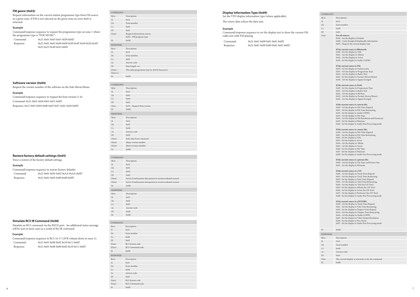#### **FM genre (0x03)**

Request information on the current station programme type from FM source in a given zone. If FM is not selected on the given zone an error 0x85 is returned.

#### **Example**

Command/response sequence to request the programme type on zone 1 where the programme type is "POP MUSIC":

| Command:  | 0x210x010x030x010xF00x0D                          |
|-----------|---------------------------------------------------|
| Response: | 0x21 0x01 0x03 0x00 0x09 0x50 0x4F 0x50 0x20 0x4D |
|           | 0x550x530x490x430x0D                              |

Request the version number of the software on the Solo Movie/Music.

#### **Example**

Command/response sequence to request the host version (1.4): Command: 0x21 0x01 0x04 0x01 0xF1 0x0D

Response: 0x21 0x01 0x04 0x00 0x03 0xF1 0x01 0x04 0x0D

## **Restore factory default settings (0x05)**

Force a restore of the factory default settings.

## **Example**

Command/response sequence to restore factory defaults: Command: 0x21 0x01 0x05 0x02 0xAA 0xAA 0x0D Response: 0x21 0x01 0x05 0x00 0x00 0x0D

| COMMAND:                |                                                       |
|-------------------------|-------------------------------------------------------|
| Byte:                   | Description:                                          |
| St                      | 0x21                                                  |
| Zn                      | Zone number                                           |
| Cc                      | 0x03                                                  |
| DI                      | 0x01                                                  |
| Datal                   | Request information source:<br>0xF0 - FM program type |
| Et                      | 0x0D                                                  |
| <b>RESPONSE:</b>        |                                                       |
| Byte:                   | Description:                                          |
| St                      | 0x21                                                  |
| Zn                      | Zone number                                           |
| Cc                      | 0x03                                                  |
| Ac                      | Answer code                                           |
| DI                      | Data length <n></n>                                   |
| $Data1 -$<br>Data < n > | The radio programme type in ASCII characters          |
| Et                      | 0x0D                                                  |
|                         |                                                       |

| Description:                |
|-----------------------------|
| 0x21                        |
| 0x01                        |
| 0x04                        |
| 0x01                        |
| 0xF1 - Request Host version |
| 0x0D                        |
|                             |
| Description:                |
| 0x21                        |
| 0x01                        |
| 0x04                        |
| Answer code                 |
| 0x03                        |
| Echo data from command      |
| Major version number        |
| Minor version number        |
| 0x0D                        |
|                             |

## COMMAND:

| committe.        |                                                              |
|------------------|--------------------------------------------------------------|
| Byte:            | Description:                                                 |
| St               | 0x21                                                         |
| Zn               | 0x01                                                         |
| Cc               | 0x05                                                         |
| $D1$             | 0x02                                                         |
| Datal            | 0xAA (Confirmation data pattern to avoid accidental restore) |
| Data2            | 0xAA (Confirmation data pattern to avoid accidental restore) |
| Et               | 0x0D                                                         |
| <b>RESPONSE:</b> |                                                              |
| Byte:            | Description:                                                 |
| St               | 0x21                                                         |
| Zn               | 0x01                                                         |
| Cc               | 0x05                                                         |
| Ac               | Answer code                                                  |
| Dl               | 0x00                                                         |
| Et               | 0x0D                                                         |

## **Simulate RC5 IR Command (0x08)**

Simulate an RC5 command via the RS232 port. An additional status message will be sent in most cases as a result of the IR command.

## **Example**

|           | Command/response sequence to RC5 16-17 (AVR volume down in zone 1): |
|-----------|---------------------------------------------------------------------|
| Command:  | 0x21 0x01 0x08 0x02 0x10 0x11 0x0D                                  |
| Response: | 0x210x010x080x000x020x100x110x0D                                    |

| COMMAND:  |                  |
|-----------|------------------|
| Byte:     | Description:     |
| St        | 0x21             |
| Zn        | Zone number      |
| Cc        | 0x08             |
| $D1$      | 0x02             |
| Datal     | RC5 System code  |
| Data2     | RC5 Command code |
| Et        | 0x0D             |
| RESPONSE: |                  |
| Byte:     | Description:     |
| St        | 0x21             |
| Zn        | Zone number      |
| Cc        | 0x08             |
| Ac        | Answer code      |
| $D1$      | 0x02             |
| Datal     | RC5 System code  |
| Data2     | RC5 Command code |
| Et        | 0x0D             |

#### **Display Information Type (0x09)**

Set the VFD display information type (where applicable).

The return data echoes the data sent.

#### **Example**

Command/response sequence to set the display text to show the current FM radio text with FM playing:

| Command:  | 0x210x010x090x010x010x0D     |
|-----------|------------------------------|
| Response: | 0x210x010x090x000x010x010x0D |

| COMMAND:  |                                                                                                     |
|-----------|-----------------------------------------------------------------------------------------------------|
| Byte:     | Description:                                                                                        |
| St        | 0x21                                                                                                |
| Zn        | Zone number                                                                                         |
| Cc        | 0x09                                                                                                |
| Dl        | 0x01                                                                                                |
| Data      | For all sources:                                                                                    |
|           | 0x00 - Set the display to Default                                                                   |
|           | 0xE0 - Cycle though all displayable information.                                                    |
|           | 0xF0 - Request the current display type                                                             |
|           |                                                                                                     |
|           | If the current source is Bluetooth:                                                                 |
|           | 0x00 - Set the display to Title<br>0x01 - Set the display to Album                                  |
|           | 0x02 - Set the display to Artist                                                                    |
|           | 0x03 - Set the display to Audio CODEC                                                               |
|           |                                                                                                     |
|           | If the current source is FM:                                                                        |
|           | 0x00 - Set the display to Station name                                                              |
|           | 0x01 - Set the display to Programme Type<br>0x02 - Set the display to Radio Text                    |
|           | 0x03 - Set the display to Format (Stereo/Mono)                                                      |
|           | 0x04 - Set the display to Signal strength                                                           |
|           |                                                                                                     |
|           | If the current source is DAB:                                                                       |
|           | 0x00 - Set the display to Programme Type                                                            |
|           | 0x01 - Set the display to Radio Text                                                                |
|           | 0x02 - Set the display to Bit Rate<br>0x02 - Set the display to Format (Stereo/Mono)                |
|           | 0x04 - Set the display to Signal Strength                                                           |
|           |                                                                                                     |
|           | If the current source is a movie file:                                                              |
|           | 0x00 - Set the display to File Time Elapsed                                                         |
|           | 0x01 - Set the display to File Time Remaining                                                       |
|           | 0x02 - Set the display to Audio CODEC                                                               |
|           | 0x03 - Set the display to File Type<br>0x04 - Set the display to File Resolution and Framerate      |
|           | 0x05 - Set the display to Filename                                                                  |
|           | 0x06 - Set the display to Audio Post Processing mode                                                |
|           |                                                                                                     |
|           | If the current source is a music file:                                                              |
|           | 0x00 - Set the display to File Time Elapsed<br>0x01 - Set the display to File Time Remaining        |
|           | 0x02 - Set the display to Title                                                                     |
|           | 0x03 - Set the display to Artist                                                                    |
|           | 0x04 - Set the display to Album                                                                     |
|           | 0x05 - Set the display to Genre                                                                     |
|           | 0x06 - Set the display to File Type                                                                 |
|           | 0x07 - Set the display to Filename                                                                  |
|           | 0x08 - Set the display to Audio Post Processing mode                                                |
|           | If the current source is a picture file:                                                            |
|           | 0x00 - Set the display to File Type and Picture Size                                                |
|           | 0x01 - Set the display to Filename                                                                  |
|           | If the current source is a CD:                                                                      |
|           | 0x00 - Set the display to Track Time Elapsed                                                        |
|           | 0x01 - Set the display to Track Time Remaining                                                      |
|           | 0x02 - Set the display to Total Time Elapsed                                                        |
|           | 0x03 - Set the display to Total Time Remaining                                                      |
|           | 0x04 - Set the display to Title (for CD-Text)                                                       |
|           | 0x05 - Set the display to Album (for CD-Text)                                                       |
|           | 0x06 - Set the display to Artist (for CD-Text)<br>0x07 - Set the display to Performer (for CD-Text) |
|           | 0x08 - Set the display to Audio Post Processing mode                                                |
|           |                                                                                                     |
|           | If the current source is a DVD/BD:                                                                  |
|           | 0x00 - Set the display to Track Time Elapsed                                                        |
|           | 0x01 - Set the display to Title Time Remaining                                                      |
|           | 0x02 - Set the display to Chapter Time Elapsed<br>0x03 - Set the display to Chapter Time Remaining  |
|           | 0x04 - Set the display to Audio CODEC                                                               |
|           | 0x05 - Set the display to Video Output Resolution                                                   |
|           | 0x06 - Set the display to Disc Name                                                                 |
|           | 0x07 - Set the display to Audio Post Processing mode                                                |
|           |                                                                                                     |
| Et        | 0x0D                                                                                                |
| RESPONSE: |                                                                                                     |
| Byte:     | Description:                                                                                        |
| St        | 0x21                                                                                                |
| Zn        | Zone number                                                                                         |
| Cc        | 0x09                                                                                                |
| Ac        | Answer code                                                                                         |
| Dl        | 0x01                                                                                                |
|           |                                                                                                     |
| Data      | The current display is returned, as for the command.                                                |
| Et        | 0x0D                                                                                                |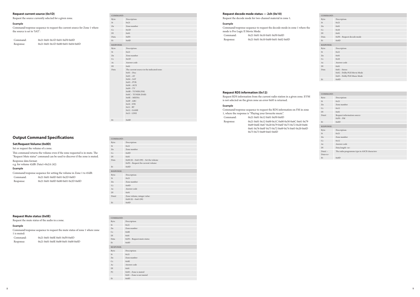| COMMAND:         |                                           |
|------------------|-------------------------------------------|
| Byte:            | Description:                              |
| St               | 0x21                                      |
| Zn               | Zone number                               |
| Cc               | 0x1D                                      |
| DI               |                                           |
|                  | 0x01<br>0xF0                              |
| Data             |                                           |
| Et               | 0x0D                                      |
| <b>RESPONSE:</b> |                                           |
| Byte:            | Description:                              |
| St               | 0x21                                      |
| Zn               | Zone number                               |
| Cc               | 0x1D                                      |
| Ac               | Answer code                               |
| DI               | 0x01                                      |
| Data             | The current source in the indicated zone: |
|                  | $0x01 - Disc$                             |
|                  | $0x03 - AV$                               |
|                  | $0x04 - SAT$                              |
|                  | $0x05 - PVR$                              |
|                  | $0x08 - AUX$<br>$0x09 - TV$               |
|                  | $0x0B - TUNER$ (FM)                       |
|                  | $0x0C - TUNER(DAB)$                       |
|                  | $0x0E - MEDIA$                            |
|                  | $0x0F - ARC$                              |
|                  | $0x10 - STB$                              |
|                  | $0x11 - BT$                               |
|                  | $0x12 - GAME$                             |
|                  | $0x13 - LINE$                             |
| Et               | 0x0D                                      |

#### **Request current source (0x1D)**

Request the source currently selected for a given zone.

#### **Example**

Command/response sequence to request the current source for Zone 1 where the source is set to 'SAT':

| Command:  | 0x210x010x1D0x010xF00x0D     |
|-----------|------------------------------|
| Response: | 0x210x010x1D0x000x010x040x0D |

#### COMMAND: Byte: Description:  $St$   $0x21$ Zn Zone number  $Cc$  0x0D Dl 0x01 Data  $0x00(0) - 0x63(99) - Set the volume$ 0xF0 – Request the current volume Et 0x0D RESPONSE: Byte: Description:  $St$   $0x21$ Zn Zone number  $Cc$   $0x0D$ Ac Answer code Dl 0x01 Data1 Zone volume, integer value:  $0x00(0) - 0x63(99)$ Et  $0x0D$

## **Output Command Specifications**

## **Set/Request Volume (0x0D)**

Set or request the volume of a zone.

This command returns the volume even if the zone requested is in mute. The "Request Mute status" command can be used to discover if the zone is muted. Response data format:

e.g. for volume 42dB: Data1=0x2A (42)

#### **Example**

Command/response sequence for setting the volume in Zone 1 to 45dB:

Command: Response:

|  | 0x210x010x0D0x010x2D0x0D     |  |
|--|------------------------------|--|
|  | 0x210x010x0D0x000x010x2D0x0D |  |

#### **Request Mute status (0x0E)**

Request the mute status of the audio in a zone.

Command: 0x21 0x01 0x10 0x01 0xF0 0x0D Response: 0x21 0x01 0x10 0x00 0x01 0x02 0x0D

## **Example**

| 1 is muted: | Command/response sequence to request the mute status of zone 1 where zone |
|-------------|---------------------------------------------------------------------------|
| Command:    | 0x210x010x0E0x010xF00x0D                                                  |
| Response:   | 0x210x010x0E0x000x010x000x0D                                              |

| COMMAND:         |                                                       |
|------------------|-------------------------------------------------------|
| Byte:            | Description:                                          |
| St               | 0x21                                                  |
| Zn               | Zone number                                           |
| Cc               | 0x0E                                                  |
| DI               | 0x01                                                  |
| Data             | 0xF0 - Request mute status                            |
| Et               | 0x0D                                                  |
| <b>RESPONSE:</b> |                                                       |
| Byte:            | Description:                                          |
| St               | 0x21                                                  |
| Zn               | Zone number                                           |
| $\rm{Cc}$        | 0x0E                                                  |
| Ac               | Answer code                                           |
| DI               | 0x01                                                  |
| P <sub>2</sub>   | $0x00 - Z$ one is muted<br>$0x01 -$ Zone is not muted |
| Et               | 0x0D                                                  |
|                  |                                                       |

| COMMAND:         |                                                                                 |  |
|------------------|---------------------------------------------------------------------------------|--|
| Byte:            | Description:                                                                    |  |
| St               | 0x21                                                                            |  |
| Zn               | 0x01                                                                            |  |
| Cc               | 0x10                                                                            |  |
| DI               | 0x01                                                                            |  |
| Data             | 0xF0 - Request decode mode                                                      |  |
| Et               | 0x0D                                                                            |  |
| <b>RESPONSE:</b> |                                                                                 |  |
| Byte:            | Description:                                                                    |  |
| St               | 0x21                                                                            |  |
| Zn               | 0x01                                                                            |  |
| Cc               | 0x10                                                                            |  |
| Ac               | Answer code                                                                     |  |
| DI               | 0x01                                                                            |  |
| Data             | $0x01 -$ Stereo<br>0x02 - Dolby PLII Movie Mode<br>0x03 - Dolby PLII Music Mode |  |
| Et               | 0x0D                                                                            |  |

#### **Request decode mode status — 2ch (0x10)**

Request the decode mode for two-channel material in zone 1.

#### **Example**

Command/response sequence to request the decode mode in zone 1 where the mode is Pro Logic II Movie Mode:

| COMMAND:               |                                              |
|------------------------|----------------------------------------------|
| Byte:                  | Description:                                 |
| St                     | 0x21                                         |
| Zn                     | Zone number                                  |
| Cc                     | 0x12                                         |
| DI                     | 0x01                                         |
| Datal                  | Request information source:<br>$0xF0-FM$     |
| Et                     | 0x0D                                         |
| <b>RESPONSE:</b>       |                                              |
| Byte:                  | Description:                                 |
| St                     | 0x21                                         |
| Zn                     | Zone number                                  |
| Cc                     | 0x12                                         |
| Ac                     | Answer code                                  |
| DI                     | Data length <n></n>                          |
| $Data1 -$<br>Data < n> | The radio programme type in ASCII characters |
| Et                     | 0x0D                                         |

#### **Request RDS information (0x12)**

Request RDS information from the current radio station in a given zone. If FM is not selected on the given zone an error 0x85 is returned.

#### **Example**

Command/response sequence to request the RDS information on FM in zone 1, where the response is "Playing your favourite music".

Command: 0x21 0x01 0x12 0x01 0xF0 0x0D

Response: 0x21 0x01 0x12 0x00 0x1C 0x00 0x50 0x6C 0x61 0x79 0x69 0x6E 0x67 0x20 0x79 0x6F 0x75 0x72 0x20 0x66 0x61 0x76 0x6F 0x75 0x72 0x69 0x74 0x65 0x20 0x6D 0x75 0x73 0x69 0x63 0x0D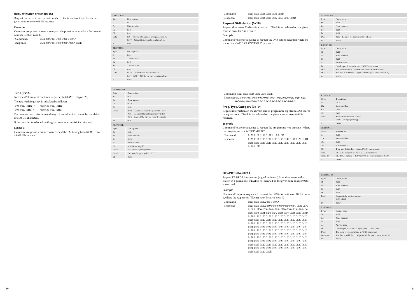#### **Request tuner preset (0x15)**

Request the current tuner preset number. If the tuner is not selected on the given zone an error 0x85 is returned.

#### **Example**

Command/response sequence to request the preset number where the present number is 10 on zone 1:

| Command:  | 0x210x010x150x010xF00x0D     |
|-----------|------------------------------|
| Response: | 0x210x010x150x000x010x0A0x0D |

#### **Tune (0x16)**

Increment/Decrement the tuner frequency in 0.05MHz steps (FM).

The returned frequency is calculated as follows:

FM freq.  $(MHz) =$  reported freq.  $(MHz)$ 

FM freq.  $(kHz) =$  reported freq.  $(kHz)$ 

For these reasons, this command may return values that cannot be translated into ASCII characters.

If the tuner is not selected on the given zone an error 0x85 is returned.

#### **Example**

Command/response sequence to increment the FM tuning from 85.0MHz to 85.05MHz in zone 1:

| COMMAND:         |                                                                                              |
|------------------|----------------------------------------------------------------------------------------------|
| Byte:            | Description:                                                                                 |
| <b>St</b>        | 0x21                                                                                         |
| Zn               | Zone number                                                                                  |
| Cc               | 0x15                                                                                         |
| DI               | 0x01                                                                                         |
| Data             | $0x01 - 0x32$ (1-50) number of required preset.<br>0xF0 - Request the current preset number. |
| Et               | 0x0D                                                                                         |
| <b>RESPONSE:</b> |                                                                                              |
| Byte:            | Description:                                                                                 |
| <b>St</b>        | 0x21                                                                                         |
| $Z_{n}$          | Zone number                                                                                  |
| Cc               | 0x15                                                                                         |
| Ac               | Answer code                                                                                  |
| DI               | 0x01                                                                                         |
| Data             | 0xFF - Currently no preset selected<br>$0x01 - 0x32$ : (1-50) the current preset number.     |
| Et               | 0x0D                                                                                         |

| COMMAND:         |                                             |
|------------------|---------------------------------------------|
| Byte:            | Description:                                |
| St               | 0x21                                        |
| $Z_{n}$          | Zone number                                 |
| Cc               | 0x16                                        |
| DI               | 0x01                                        |
| Datal            | 0x00 - Decrement tuner frequency by 1 step. |
|                  | 0x01 - Increment tuner frequency by 1 step. |
|                  | 0xF0 - Request the current tuner frequency. |
| Et               | 0x0D                                        |
| <b>RESPONSE:</b> |                                             |
| Byte:            | Description:                                |
| <b>St</b>        | 0x21                                        |
| $Z_{n}$          | Zone number                                 |
| Cc               | 0x16                                        |
| Ac               | Answer code                                 |
| DI               | 0x02 (Data length)                          |
| Datal            | FM: New frequency (MHz)                     |
| Data2            | FM: New frequency (10's kHz)                |
| Et               | 0x0D                                        |
|                  |                                             |

| COMMAND:          |                                                                  |
|-------------------|------------------------------------------------------------------|
| Byte:             | Description:                                                     |
| <b>St</b>         | 0x21                                                             |
| $Z_{n}$           | Zone number                                                      |
| Cc                | 0x18                                                             |
| DI                | 0x01                                                             |
| Data              | 0xF0 - Request the current DAB station                           |
| Et                | 0x0D                                                             |
| <b>RESPONSE:</b>  |                                                                  |
| Byte:             | Description:                                                     |
| <b>St</b>         | 0x21                                                             |
| $Z_{n}$           | Zone number                                                      |
| $C_{\mathcal{C}}$ | 0x18                                                             |
| Ac                | Answer code                                                      |
| DI                | Data length, fixed to 16 bytes (ASCII characters)                |
| $Data1 -$         | The service label of the DAB station in ASCII characters.        |
| Data128           | The data is padded to 16 bytes with the space character $(0x20)$ |
| Et                | 0x0D                                                             |

Command: 0x21 0x01 0x16 0x01 0x01 0x0D Response: 0x21 0x01 0x16 0x00 0x02 0x55 0x05 0x0D

#### **Request DAB station (0x18)**

Request the current DAB station selected. If DAB is not selected on the given zone an error 0x85 is returned.

#### **Example**

Command/response sequence to request the DAB station selection where the station is called "DAB STATION 2" in zone 1:

| COMMAND:         |                                                                  |
|------------------|------------------------------------------------------------------|
| Byte:            | Description:                                                     |
| St               | 0x21                                                             |
| $Z_{n}$          | Zone number                                                      |
| Cc               | 0x19                                                             |
| DI               | 0x01                                                             |
| Datal            | Request information source:                                      |
|                  | 0xF0 - DAB program type                                          |
| Et               | 0x0D                                                             |
| <b>RESPONSE:</b> |                                                                  |
| Byte:            | Description:                                                     |
| St               | 0x21                                                             |
| Zn               | Zone number                                                      |
| Cc               | 0x19                                                             |
| Ac               | Answer code                                                      |
| DI               | Data length, fixed to 16 bytes (ASCII characters)                |
| $Data1 -$        | The radio programme type in ASCII characters.                    |
| Data128          | The data is padded to 16 bytes with the space character $(0x20)$ |
| Et               | 0x0D                                                             |

Command: 0x21 0x01 0x18 0x01 0xF0 0x0D Response: 0x21 0x01 0x18 0x00 0x10 0x44 0x41 0x42 0x20 0x53 0x54 0x41 0x54 0x49 0x4F 0x4E 0x20 0x32 0x20 0x20 0x20 0x0D

#### **Prog. Type/Category (0x19)**

Request information on the current station programme type from DAB source in a given zone. If DAB is not selected on the given zone an error 0x85 is returned.

#### **Example**

Command/response sequence to request the programme type on zone 1 where the programme type is "POP MUSIC":

Command: 0x21 0x01 0x19 0x01 0xF0 0x0D Response: 0x21 0x01 0x19 0x00 0x10 0x50 0x4F 0x50 0x20 0x4D 0x55 0x53 0x49 0x43 0x20 0x20 0x20 0x20 0x20 0x20 0x20 0x0D

| COMMAND:               |                                                                                                                    |
|------------------------|--------------------------------------------------------------------------------------------------------------------|
| Byte:                  | Description:                                                                                                       |
| St                     | 0x21                                                                                                               |
| $Z_{n}$                | Zone number                                                                                                        |
| $C_{\mathcal{C}}$      | 0x1A                                                                                                               |
| DI                     | 0x01                                                                                                               |
| Datal                  | Request information source:<br>$0xF0 - DAB$                                                                        |
| Et                     | 0x0D                                                                                                               |
| RESPONSE:              |                                                                                                                    |
| Byte:                  | Description:                                                                                                       |
| <b>St</b>              | 0x21                                                                                                               |
| $Z_{n}$                | Zone number                                                                                                        |
| $C_{\mathcal{C}}$      | 0x1A                                                                                                               |
| Ac                     | Answer code                                                                                                        |
| DI                     | Data length, fixed to 128 bytes (ASCII characters)                                                                 |
| $Data1 -$<br>Data < n> | The radio programme type in ASCII characters.<br>The data is padded to 128 bytes with the space character $(0x20)$ |
| Et                     | 0x0D                                                                                                               |

#### **DLS/PDT info. (0x1A)**

Request DLS/PDT information (digital radio text) from the current radio station in a given zone. If DAB is not selected on the given zone an error 0x85 is returned.

#### **Example**

Command/response sequence to request the DLS information on DAB in zone 1, where the response is "Playing your favourite music".

Command: 0x21 0x01 0x1A 0xF0 0x0D

Response: 0x21 0x01 0x1A 0x00 0x80 0x00 0x50 0x6C 0x61 0x79 0x69 0x6E 0x67 0x20 0x79 0x6F 0x75 0x72 0x20 0x66 0x61 0x76 0x6F 0x75 0x72 0x69 0x74 0x65 0x20 0x6D 0x20 0x20 0x20 0x20 0x20 0x20 0x20 0x20 0x20 0x20 0x20 0x20 0x20 0x20 0x20 0x20 0x20 0x20 0x20 0x20 0x20 0x20 0x20 0x20 0x20 0x20 0x20 0x20 0x20 0x20 0x20 0x20 0x20 0x20 0x20 0x20 0x20 0x20 0x20 0x20 0x20 0x20 0x20 0x20 0x20 0x20 0x20 0x20 0x20 0x20 0x20 0x20 0x20 0x20 0x20 0x20 0x20 0x20 0x20 0x20 0x20 0x20 0x20 0x20 0x20 0x20 0x20 0x20 0x20 0x20 0x20 0x20 0x20 0x20 0x20 0x20 0x20 0x20 0x20 0x20 0x20 0x20 0x20 0x20 0x20 0x20 0x20 0x20 0x20 0x20 0x20 0x20 0x20 0x20 0x20 0x20 0x20 0x20 0x20 0x20 0x20 0x20 0x20 0x0D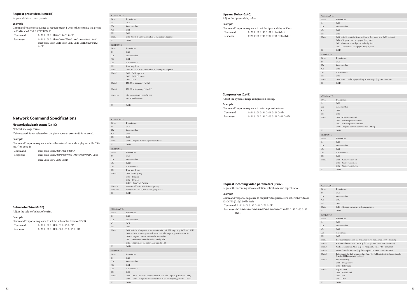| COMMAND:          |                                                      |
|-------------------|------------------------------------------------------|
| Byte:             | Description:                                         |
| St                | 0x21                                                 |
| $Z_{n}$           | Zone number                                          |
| $C_{\mathcal{C}}$ | 0x1B                                                 |
| DI                | 0x01                                                 |
| Data              | 0x01-0x32: (1-50) The number of the required preset  |
| Et                | 0x0D                                                 |
| <b>RESPONSE:</b>  |                                                      |
| Byte:             | Description:                                         |
| St                | 0x21                                                 |
| $Z_{n}$           | Zone number                                          |
| $C_{\mathcal{C}}$ | 0x1B                                                 |
| Ac                | Answer code                                          |
| DI                | Data length <n></n>                                  |
| Data1             | 0x01-0x32: (1-50) The number of the requested preset |
| Data <sub>2</sub> | $0x01$ : FM frequency                                |
|                   | $0x02$ : FM RDS name                                 |
|                   | 0x03 : DAB                                           |
| Data3             | FM: New frequency (MHz)                              |
| Data4             | FM: New frequency (10'skHz)                          |
| $\text{Data}$     | The name (DAB, FM if RDS)                            |
|                   | in ASCII characters                                  |
| Et                | 0x0D                                                 |

Command: 0x21 0x01 0x1B 0x01 0x01 0x0D Response: 0x21 0x01 0x1B 0x00 0x0F 0x01 0x02 0x44 0x41 0x42 0x20 0x53 0x54 0x41 0x54 0x49 0x4F 0x4E 0x20 0x32  $0x0D$ 

Command/response sequence where the network module is playing a file "File. mp3" on zone 1: Comm

#### **Request preset details (0x1B)**

Request details of tuner presets.

#### **Example**

Command/response sequence to request preset 1 where the response is a preset on DAB called "DAB STATION 2":

## **Network Command Specifications**

#### **Network playback status (0x1C)**

Network message format.

If the network is not selected on the given zone an error 0x85 is returned.

## **Example**

| Command:  | 0x210x010x1C0x010xF00x0D                          |
|-----------|---------------------------------------------------|
| Response: | 0x21 0x01 0x1C 0x00 0x09 0x01 0x46 0x69 0x6C 0x65 |
|           | 0x2e 0x6d 0x70 0x33 0x0D                          |

| COMMAND:                  |                                                                                       |
|---------------------------|---------------------------------------------------------------------------------------|
| Byte:                     | Description:                                                                          |
| St                        | 0x21                                                                                  |
| Zn                        | Zone number                                                                           |
| Cc                        | 0x1C                                                                                  |
| $D1$                      | 0x01                                                                                  |
| Data                      | 0xF0 - Request Network playback status                                                |
| Et                        | 0x0D                                                                                  |
| <b>RESPONSE:</b>          |                                                                                       |
| Byte:                     | Description:                                                                          |
| St                        | 0x21                                                                                  |
| Zn                        | Zone number                                                                           |
| Cc                        | 0x1C                                                                                  |
| Ac                        | Answer code                                                                           |
| Dl                        | Data length <n></n>                                                                   |
| Datal                     | $0x00 - Navigating$<br>$0x01 -$ Playing<br>$0x02$ – Paused<br>0xFF - Busy/Not Playing |
| $Data2 -$<br>Data <n></n> | name of folder in ASCII if navigating<br>name of file in ASCII if playing or paused   |
| Et                        | 0x0D                                                                                  |

## **Subwoofer Trim (0x3F)**

Adjust the value of subwoofer trim.

#### **Example**

|           | Command/response sequence to set the subwoofer trim to -2.5dB: |
|-----------|----------------------------------------------------------------|
| Command:  | 0x210x010x3F0x010x850x0D                                       |
| Response: | 0x210x010x3F0x000x010x850x0D                                   |

| COMMAND:         |                                                                                                                                                                                                                                                                                                                |
|------------------|----------------------------------------------------------------------------------------------------------------------------------------------------------------------------------------------------------------------------------------------------------------------------------------------------------------|
| Byte:            | Description:                                                                                                                                                                                                                                                                                                   |
| <b>St</b>        | 0x21                                                                                                                                                                                                                                                                                                           |
| $Z_{n}$          | Zone number                                                                                                                                                                                                                                                                                                    |
| Cc               | 0x3F                                                                                                                                                                                                                                                                                                           |
| DI               | 0x01                                                                                                                                                                                                                                                                                                           |
| Data             | $0x00 - 0x14 -$ Set positive subwoofer trim in 0.5dB steps (e.g. $0x02 = +1.0dB$ )<br>$0x81 - 0x94 -$ Set negative sub. trim in 0.5dB steps (e.g. $0x82 = -1.0$ dB)<br>0xF0 - Request current subwoofer trim value<br>0xF1 - Increment the subwoofer trim by 1dB<br>0xF2 - Decrement the subwoofer trim by 1dB |
| Et               | 0x0D                                                                                                                                                                                                                                                                                                           |
| <b>RESPONSE:</b> |                                                                                                                                                                                                                                                                                                                |
| Byte:            | Description:                                                                                                                                                                                                                                                                                                   |
| <b>St</b>        | 0x21                                                                                                                                                                                                                                                                                                           |
| Zn               | Zone number                                                                                                                                                                                                                                                                                                    |
| Cc               | 0x3F                                                                                                                                                                                                                                                                                                           |
| Ac               | Answer code                                                                                                                                                                                                                                                                                                    |
| DI               | 0x01                                                                                                                                                                                                                                                                                                           |
| Datal            | $0x00 - 0x14$ – Positive subwoofer trim in 0.5dB steps (e.g. $0x02 = +1.0dB$ )<br>$0x81 - 0x94 -$ Negative subwoofer trim in 0.5dB steps (e.g. $0x82 = -1.0$ dB)                                                                                                                                               |

Et 0x0D

**COL** 

## **Lipsync Delay (0x40)**

Adjust the lipsync delay value.

#### **Example**

Command/response sequence to set the lipsync delay to 50ms: Command: 0x21 0x01 0x40 0x01 0x0A 0x0D Response: 0x21 0x01 0x40 0x00 0x01 0x0A 0x0D

| COMMAND:         |                                                                                                                                                                                                                  |
|------------------|------------------------------------------------------------------------------------------------------------------------------------------------------------------------------------------------------------------|
| Byte:            | Description:                                                                                                                                                                                                     |
| St               | 0x21                                                                                                                                                                                                             |
| $Z_{n}$          | Zone number                                                                                                                                                                                                      |
| Cc               | 0x40                                                                                                                                                                                                             |
| DI               | 0x01                                                                                                                                                                                                             |
| Data             | $0x00 - 0x32$ – set the lipsync delay in 5ms steps (e.g. $0x08 = 40$ ms)<br>0xF0 - Request current lipsync delay value<br>0xF1 - Increment the lipsync delay by 5ms<br>0xF2 - Decrement the lipsync delay by 5ms |
| Et               | 0x0D                                                                                                                                                                                                             |
| <b>RESPONSE:</b> |                                                                                                                                                                                                                  |
| Byte:            | Description:                                                                                                                                                                                                     |
| <b>St</b>        | 0x21                                                                                                                                                                                                             |
| $Z_{n}$          | Zone number                                                                                                                                                                                                      |
| Cc               | 0x40                                                                                                                                                                                                             |
| Ac               | Answer code                                                                                                                                                                                                      |
| DI               | 0x01                                                                                                                                                                                                             |
| Datal            | $0x00 - 0x32$ – the lipsync delay in 5ms steps (e.g. $0x10 = 80$ ms)                                                                                                                                             |
| Et               | 0x0D                                                                                                                                                                                                             |

#### **Compression (0x41)**

Adjust the dynamic range compression setting.

#### **Example**

| Command/response sequence to set compression to on: |                                    |  |
|-----------------------------------------------------|------------------------------------|--|
| Command:                                            | 0x210x010x410x010x010x0D           |  |
| Response:                                           | 0x21 0x01 0x41 0x00 0x01 0x01 0x0D |  |

| COMMAND:         |                                                                                                                                          |
|------------------|------------------------------------------------------------------------------------------------------------------------------------------|
| Byte:            | Description:                                                                                                                             |
| St               | 0x21                                                                                                                                     |
| $Z_{n}$          | Zone number                                                                                                                              |
| Cc               | 0x41                                                                                                                                     |
| DI               | 0x01                                                                                                                                     |
| Data             | 0x00 - Compression off<br>0x01 - Set compression to on<br>$0x02$ – Set compression to auto<br>0xF0 - Request current compression setting |
| Et               | 0x0D                                                                                                                                     |
|                  |                                                                                                                                          |
| <b>RESPONSE:</b> |                                                                                                                                          |
| Byte:            | Description:                                                                                                                             |
| <b>St</b>        | 0x21                                                                                                                                     |
| $Z_{n}$          | Zone number                                                                                                                              |
| Cc               | 0x41                                                                                                                                     |
| Ac               | Answer code                                                                                                                              |
| DI               | 0x01                                                                                                                                     |
| Datal            | 0x00 - Compression off<br>0x01 - Compression on<br>$0x02$ – Compression auto                                                             |

#### **Request incoming video parameters (0x42)**

Request the incoming video resolution, refresh rate and aspect ratio.

#### **Example**

Command/response sequence to request video parameters, where the video is 1280x720 (720p) 50Hz 16:9:

Command: 0x21 0x01 0x42 0x01 0xF0 0x0D

Response: 0x21 0x01 0x42 0x00 0x07 0x05 0x00 0x02 0xD0 0x32 0x00 0x02 0x0D

| COMMAND:          |                                                                                                                           |
|-------------------|---------------------------------------------------------------------------------------------------------------------------|
| Byte:             | Description:                                                                                                              |
| St                | 0x21                                                                                                                      |
| $Z_{n}$           | Zone number                                                                                                               |
| $C_{\mathcal{C}}$ | 0x42                                                                                                                      |
| DI                | 0x01                                                                                                                      |
| Data              | 0xF0 - Request incoming video parameters                                                                                  |
| Et                | 0x0D                                                                                                                      |
| <b>RESPONSE:</b>  |                                                                                                                           |
| Byte:             | Description:                                                                                                              |
| <b>St</b>         | 0x21                                                                                                                      |
| $Z_{n}$           | Zone number                                                                                                               |
| $C_{\mathcal{C}}$ | 0x42                                                                                                                      |
| Ac                | Answer code                                                                                                               |
| DI                | 0x07                                                                                                                      |
| Datal             | Horizontal resolution MSB (e.g. for 720p: $0x05$ since $1280 = 0x0500$ )                                                  |
| Data <sub>2</sub> | Horizontal resolution LSB (e.g. for 720p: $0x00$ since $1280 = 0x0500$ )                                                  |
| Data3             | Vertical resolution MSB (e.g. for 720p: $0x02$ since $720 = 0x02D0$ )                                                     |
| Data4             | Vertical resolution LSB (e.g. for 720p: $0xD0$ since $720 = 0x02D0$ )                                                     |
| Data <sub>5</sub> | Refresh rate for full image update (half the field rate for interlaced signals)<br>(e.g. for $50Hz$ progressive: $0x32$ ) |
| Data6             | Interlaced flag:<br>$0x00 - Progressive$<br>$0x01 - Interlaced$                                                           |
| Data7             | Aspect ratio:<br>$0x00 - Undefined$<br>$0x01 - 4:3$<br>$0x02 - 16:9$                                                      |
| Et                | 0x0D                                                                                                                      |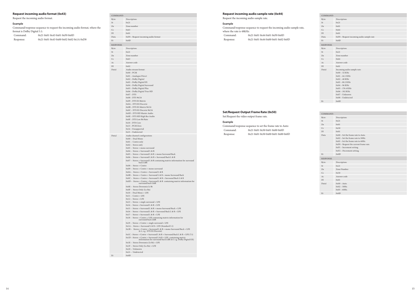## **Request incoming audio format (0x43)**

Command/response sequence to request the incoming audio format, where the format is Dolby Digital 5.1:  $Command: 0x21 0x01 0x43 0x01 0xF0 0x0D$ 

Request the incoming audio format.

## **Example**

| Command:  | UXZI UXUI UX43 UXUI UXFU UXULL          |
|-----------|-----------------------------------------|
| Response: | 0x21 0x01 0x43 0x00 0x02 0x02 0x1A 0xD0 |

| COMMAND:         |                                                                                                                                                                                                                                                                                                                                                                                                                                                                                                                                                                                                                                                                                                                                                                                                                                                                                                                                                                                                                                                                                                                                                                                                                                                                                                                                                                                                                                                                                                                                                                                                                                                                                                                                                          |
|------------------|----------------------------------------------------------------------------------------------------------------------------------------------------------------------------------------------------------------------------------------------------------------------------------------------------------------------------------------------------------------------------------------------------------------------------------------------------------------------------------------------------------------------------------------------------------------------------------------------------------------------------------------------------------------------------------------------------------------------------------------------------------------------------------------------------------------------------------------------------------------------------------------------------------------------------------------------------------------------------------------------------------------------------------------------------------------------------------------------------------------------------------------------------------------------------------------------------------------------------------------------------------------------------------------------------------------------------------------------------------------------------------------------------------------------------------------------------------------------------------------------------------------------------------------------------------------------------------------------------------------------------------------------------------------------------------------------------------------------------------------------------------|
| Byte:            | Description:                                                                                                                                                                                                                                                                                                                                                                                                                                                                                                                                                                                                                                                                                                                                                                                                                                                                                                                                                                                                                                                                                                                                                                                                                                                                                                                                                                                                                                                                                                                                                                                                                                                                                                                                             |
| St               | 0x21                                                                                                                                                                                                                                                                                                                                                                                                                                                                                                                                                                                                                                                                                                                                                                                                                                                                                                                                                                                                                                                                                                                                                                                                                                                                                                                                                                                                                                                                                                                                                                                                                                                                                                                                                     |
| Zn               | Zone number                                                                                                                                                                                                                                                                                                                                                                                                                                                                                                                                                                                                                                                                                                                                                                                                                                                                                                                                                                                                                                                                                                                                                                                                                                                                                                                                                                                                                                                                                                                                                                                                                                                                                                                                              |
| Cc               | 0x43                                                                                                                                                                                                                                                                                                                                                                                                                                                                                                                                                                                                                                                                                                                                                                                                                                                                                                                                                                                                                                                                                                                                                                                                                                                                                                                                                                                                                                                                                                                                                                                                                                                                                                                                                     |
| DI               | 0x01                                                                                                                                                                                                                                                                                                                                                                                                                                                                                                                                                                                                                                                                                                                                                                                                                                                                                                                                                                                                                                                                                                                                                                                                                                                                                                                                                                                                                                                                                                                                                                                                                                                                                                                                                     |
| Data             | 0xF0 - Request incoming audio format                                                                                                                                                                                                                                                                                                                                                                                                                                                                                                                                                                                                                                                                                                                                                                                                                                                                                                                                                                                                                                                                                                                                                                                                                                                                                                                                                                                                                                                                                                                                                                                                                                                                                                                     |
| Et               | 0x0D                                                                                                                                                                                                                                                                                                                                                                                                                                                                                                                                                                                                                                                                                                                                                                                                                                                                                                                                                                                                                                                                                                                                                                                                                                                                                                                                                                                                                                                                                                                                                                                                                                                                                                                                                     |
| <b>RESPONSE:</b> |                                                                                                                                                                                                                                                                                                                                                                                                                                                                                                                                                                                                                                                                                                                                                                                                                                                                                                                                                                                                                                                                                                                                                                                                                                                                                                                                                                                                                                                                                                                                                                                                                                                                                                                                                          |
| Byte:            | Description:                                                                                                                                                                                                                                                                                                                                                                                                                                                                                                                                                                                                                                                                                                                                                                                                                                                                                                                                                                                                                                                                                                                                                                                                                                                                                                                                                                                                                                                                                                                                                                                                                                                                                                                                             |
| St               | 0x21                                                                                                                                                                                                                                                                                                                                                                                                                                                                                                                                                                                                                                                                                                                                                                                                                                                                                                                                                                                                                                                                                                                                                                                                                                                                                                                                                                                                                                                                                                                                                                                                                                                                                                                                                     |
| Zn               | Zone number                                                                                                                                                                                                                                                                                                                                                                                                                                                                                                                                                                                                                                                                                                                                                                                                                                                                                                                                                                                                                                                                                                                                                                                                                                                                                                                                                                                                                                                                                                                                                                                                                                                                                                                                              |
| Cc               | 0x43                                                                                                                                                                                                                                                                                                                                                                                                                                                                                                                                                                                                                                                                                                                                                                                                                                                                                                                                                                                                                                                                                                                                                                                                                                                                                                                                                                                                                                                                                                                                                                                                                                                                                                                                                     |
| Ac<br>Dl         | Answer code<br>0x02                                                                                                                                                                                                                                                                                                                                                                                                                                                                                                                                                                                                                                                                                                                                                                                                                                                                                                                                                                                                                                                                                                                                                                                                                                                                                                                                                                                                                                                                                                                                                                                                                                                                                                                                      |
| Datal            | Audio stream format:                                                                                                                                                                                                                                                                                                                                                                                                                                                                                                                                                                                                                                                                                                                                                                                                                                                                                                                                                                                                                                                                                                                                                                                                                                                                                                                                                                                                                                                                                                                                                                                                                                                                                                                                     |
|                  | $0x00 - PCM$<br>0x01 - Analogue Direct<br>0x02 - Dolby Digital<br>0x03 - Dolby Digital EX<br>0x04 - Dolby Digital Surround<br>0x05 - Dolby Digital Plus<br>0x06 - Dolby Digital True HD<br>$0x07 - DTS$<br>$0x08 - DTS96/24$<br>0x09 - DTS ES Matrix<br>0x0A - DTS ES Discrete<br>0x0B - DTS ES Matrix 96/24<br>0x0C - DTS ES Discrete 96/24<br>0x0D - DTS HD Master Audio<br>0x0E - DTS HD High Res Audio<br>0x0F - DTS Low Bit Rate<br>0x10 - DTS Core<br>0x13 - PCM Zero<br>$0x14 - Unsupported$                                                                                                                                                                                                                                                                                                                                                                                                                                                                                                                                                                                                                                                                                                                                                                                                                                                                                                                                                                                                                                                                                                                                                                                                                                                      |
|                  | 0x15 - Undetected                                                                                                                                                                                                                                                                                                                                                                                                                                                                                                                                                                                                                                                                                                                                                                                                                                                                                                                                                                                                                                                                                                                                                                                                                                                                                                                                                                                                                                                                                                                                                                                                                                                                                                                                        |
|                  |                                                                                                                                                                                                                                                                                                                                                                                                                                                                                                                                                                                                                                                                                                                                                                                                                                                                                                                                                                                                                                                                                                                                                                                                                                                                                                                                                                                                                                                                                                                                                                                                                                                                                                                                                          |
| Data2            | Audio channel configuration:<br>0x00 - Dual Mono<br>$0x01$ – Centre only<br>$0x02 -$ Stereo only<br>$0x03 -$ Stereo + mono surround<br>0x04 - Stereo + Surround L & R<br>0x05 - Stereo + Surround L & R + mono Surround Back<br>0x06 - Stereo + Surround L & R + Surround Back L & R<br>0x07 - Stereo + Surround L & R containing matrix information for surround<br>back L&R<br>$0x08 -$ Stereo + Centre<br>0x09 - Stereo + Centre + mono surround<br>0x0A - Stereo + Centre + Surround L & R<br>0x0B - Stereo + Centre + Surround L & R + mono Surround Back<br>0x0C - Stereo + Centre + Surround L & R + Surround Back L & R<br>$0x0D -$ Stereo + Centre + Surround L & R containing matrix information for<br>surround back L&R<br>0x0E - Stereo Downmix Lt Rt<br>0x0F - Stereo Only (Lo Ro)<br>0x10 - Dual Mono + LFE<br>$0x11 - Centre + LFE$<br>$0x12 - Stereo + LFE$<br>0x13 - Stereo + single surround + LFE<br>0x14 - Stereo + Surround L & R + LFE<br>0x15 - Stereo + Surround L & R + mono Surround Back + LFE<br>0x16 - Stereo + Surround L & R + Surround Back L & R + LFE<br>$0x17 -$ Stereo + Surround L & R + LFE<br>0x18 - Stereo + Centre + LFE containing matrix information for<br>surround back L&R<br>0x19 - Stereo + Centre + single surround + LFE<br>0x1A - Stereo + Surround L & R + LFE (Standard 5.1)<br>0x1B - Stereo + Centre + Surround L & R + mono Surround Back + LFE<br>(6.1, e.g. DTS ES Discrete)<br>0x1C - Stereo + Centre + Surround L & R + Surround Back L & R + LFE (7.1)<br>0x1D - Stereo + Centre + Surround L & R + LFE, containing matrix<br>information for surround back L&R (6.1 e.g. Dolby Digital EX)<br>0x1E - Stereo Downmix (Lt Rt) + LFE<br>0x1F - Stereo Only (Lo Ro) + LFE<br>$0x20 - Unknown$ |
| Et               | $0x21 - Undetected$<br>0x0D                                                                                                                                                                                                                                                                                                                                                                                                                                                                                                                                                                                                                                                                                                                                                                                                                                                                                                                                                                                                                                                                                                                                                                                                                                                                                                                                                                                                                                                                                                                                                                                                                                                                                                                              |

## **Request incoming audio sample rate (0x44)**

Request the incoming audio sample rate.

#### **Example**

| Command/response sequence to request the incoming audio sample rate, |                                    |  |
|----------------------------------------------------------------------|------------------------------------|--|
| where the rate is 48kHz:                                             |                                    |  |
| Command:                                                             | 0x210x010x440x010xF00x0D           |  |
| Response:                                                            | 0x21 0x01 0x44 0x00 0x01 0x02 0x0D |  |

| COMMAND:         |                                                                                                                                                                                                                     |
|------------------|---------------------------------------------------------------------------------------------------------------------------------------------------------------------------------------------------------------------|
| Byte:            | Description:                                                                                                                                                                                                        |
| St               | 0x21                                                                                                                                                                                                                |
| Zn               | 0x01                                                                                                                                                                                                                |
| Cc               | 0x44                                                                                                                                                                                                                |
| DI               | 0x01                                                                                                                                                                                                                |
| Data             | 0xF0 - Request incoming audio sample rate                                                                                                                                                                           |
| Et               | 0x0D                                                                                                                                                                                                                |
| <b>RESPONSE:</b> |                                                                                                                                                                                                                     |
| Byte:            | Description:                                                                                                                                                                                                        |
| St               | 0x21                                                                                                                                                                                                                |
| Zn               | Zone number                                                                                                                                                                                                         |
| Cc               | 0x44                                                                                                                                                                                                                |
| Ac               | Answer code                                                                                                                                                                                                         |
| DI               | 0x01                                                                                                                                                                                                                |
| Datal            | Incoming audio sample rate:<br>$0x00 - 32$ KHz<br>$0x01 - 44.1$ KHz<br>$0x02 - 48$ KHz<br>$0x03 - 88.2$ KHz<br>$0x04 - 96$ KHz<br>$0x05 - 176.4$ KHz<br>$0x06 - 192$ KHz<br>$0x07 - Unknown$<br>$0x08 - Undetected$ |
| Et               | 0x0D                                                                                                                                                                                                                |

|          | Set/Request Output Frame Rate (0x50)                     |  |
|----------|----------------------------------------------------------|--|
|          | Set/Request the video output frame rate.                 |  |
| Example  |                                                          |  |
|          | Command/response sequence to set the frame rate to Auto: |  |
| Command: | 0x210x010x500x010x000x0D                                 |  |
|          |                                                          |  |

Response: 0x21 0x01 0x50 0x00 0x01 0x00 0x0D

| Description:<br>Byte:<br>0x21<br>St<br>$Z_{n}$<br>0x01<br>$C_{\mathcal{C}}$<br>0x50<br>DI<br>0x01<br>0x00 - Set the frame rate to Auto.<br>Data<br>0x02 - Set the frame rate to 50Hz.<br>$0x03$ – Set the frame rate to $60Hz$ .<br>0xF0 - Request the current frame rate. |
|----------------------------------------------------------------------------------------------------------------------------------------------------------------------------------------------------------------------------------------------------------------------------|
|                                                                                                                                                                                                                                                                            |
|                                                                                                                                                                                                                                                                            |
|                                                                                                                                                                                                                                                                            |
|                                                                                                                                                                                                                                                                            |
|                                                                                                                                                                                                                                                                            |
| $0xF1$ – Increment setting.<br>$0xF2 - December setting.$                                                                                                                                                                                                                  |
| 0x0D<br>Et                                                                                                                                                                                                                                                                 |
| <b>RESPONSE:</b>                                                                                                                                                                                                                                                           |
| Description:<br>Byte:                                                                                                                                                                                                                                                      |
| 0x21<br><b>St</b>                                                                                                                                                                                                                                                          |
| Zone Number<br>Zn                                                                                                                                                                                                                                                          |
| Cc<br>0x50                                                                                                                                                                                                                                                                 |
| Answer code<br>Ac                                                                                                                                                                                                                                                          |
| DI<br>0x01                                                                                                                                                                                                                                                                 |
| Datal<br>$0x00 - \text{Auto}.$<br>$0x02 - 50Hz$ .<br>$0x03 - 60Hz$ .                                                                                                                                                                                                       |
| 0x0D<br>Et                                                                                                                                                                                                                                                                 |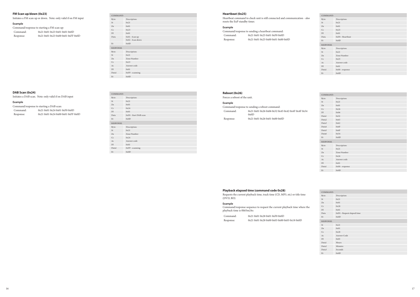## **DAB Scan (0x24)**

Initiates a DAB scan. Note: only valid if on DAB input

#### **Example**

| _________                                |                                    |  |
|------------------------------------------|------------------------------------|--|
| Command/response to starting a DAB scan: |                                    |  |
| Command:                                 | 0x21 0x01 0x24 0x01 0xF0 0x0D      |  |
| Response:                                | 0x21 0x01 0x24 0x00 0x01 0xFF 0x0D |  |

| COMMAND:         |                       |
|------------------|-----------------------|
| Byte:            | Description:          |
| St               | 0x21                  |
| Zn               | 0x01                  |
| Cc               | 0x24                  |
| DI               | 0x01                  |
| Data             | 0xF0 - Start DAB scan |
| Et               | 0x0D                  |
| <b>RESPONSE:</b> |                       |
| Byte:            | Description:          |
| St               | 0x21                  |
| Zn               | Zone Number           |
| Cc               | 0x24                  |
| Ac               | Answer code           |
| DI               | 0x01                  |
| Datal            | $0xFF - scanning$     |
| Et               | 0x0D                  |

#### **FM Scan up/down (0x23)**

Initiates a FM scan up or down. Note: only valid if on FM input

## **Example**

| Command/response to starting a FM scan up: |                                    |  |
|--------------------------------------------|------------------------------------|--|
| Command:                                   | 0x210x010x230x010x010x0D           |  |
| Response:                                  | 0x21 0x01 0x23 0x00 0x01 0xFF 0x0D |  |

| COMMAND:  |                                    |
|-----------|------------------------------------|
| Byte:     | Description:                       |
| St        | 0x21                               |
| Zn        | 0x01                               |
| Cc        | 0x23                               |
| DI        | 0x01                               |
| Data      | 0x01 - Scan up<br>0x02 - Scan down |
| Et        | 0x0D                               |
| RESPONSE: |                                    |
| Byte:     | Description:                       |
| St        | 0x21                               |
| Zn        | Zone Number                        |
| Cc        | 0x23                               |
| Ac        | Answer code                        |
| DI        | 0x01                               |
| Datal     | $0xFF - scanning$                  |
| Et        | 0x0D                               |

#### **Heartbeat (0x25)**

Heartbeat command to check unit is still connected and communication - also resets the EuP standby timer.

## **Example**

| Command/response to sending a heartbeat command: |                                    |  |  |
|--------------------------------------------------|------------------------------------|--|--|
| Command:                                         | 0x21 0x01 0x25 0x01 0xF0 0x0D      |  |  |
| Response:                                        | 0x21 0x01 0x25 0x00 0x01 0x00 0x0D |  |  |

| COMMAND:         |                  |
|------------------|------------------|
| Byte:            | Description:     |
| St               | 0x21             |
| Zn               | 0x01             |
| Cc               | 0x25             |
| DI               | 0x01             |
| Data             | 0xF0 - Heartbeat |
| Et               | 0x0D             |
| <b>RESPONSE:</b> |                  |
| Byte:            | Description:     |
| St               | 0x21             |
| Zn               | Zone Number      |
| Cc               | 0x25             |
| Ac               | Answer code      |
| Dl               | 0x01             |
| Datal            | 0x00 - response  |
| Et               | 0x0D             |

#### **Reboot (0x26)**

Forces a reboot of the unit.

## **Example**

Command/response to sending a reboot command: Command: 0x21 0x01 0x26 0x06 0x52 0x45 0x42 0x4F 0x4F 0x54 0x0D Response: 0x21 0x01 0x26 0x01 0x00 0x0D

| COMMAND:         |                 |
|------------------|-----------------|
| Byte:            | Description:    |
| St               | 0x21            |
| Zn               | 0x01            |
| Cc               | 0x26            |
| DI               | 0x06            |
| Datal            | 0x52            |
| Data2            | 0x45            |
| Data3            | 0x42            |
| Data4            | 0x4F            |
| Data5            | 0x4F            |
| Data6            | 0x54            |
| Et               | 0x0D            |
| <b>RESPONSE:</b> |                 |
| Byte:            | Description:    |
| St               | 0x21            |
| Zn               | Zone Number     |
| Cc               | 0x26            |
| Ac               | Answer code     |
| DI               | 0x01            |
| Datal            | 0x00 - response |
| Et               | 0x0D            |

| COMMAND:         |                             |
|------------------|-----------------------------|
| Byte:            | Description                 |
| St               | 0x21                        |
| Zn               | 0x01                        |
| Cc               | 0x28                        |
| DI               | 0x01                        |
| Data             | 0xF0 - Request elapsed time |
| Et               | 0x0D                        |
| <b>RESPONSE:</b> |                             |
| St               | 0x21                        |
| Zn               | 0x01                        |
| Cc               | 0x28                        |
| Ac               | Answer Code                 |
| DI               | 0x03                        |
| Datal            | Hours                       |
| Data2            | Minutes                     |
| Data3            | Seconds                     |
| Et               | 0x0D                        |

## **Playback elapsed time (command code 0x28)**

Requests the current playback time, track time (CD, MP3, etc) or title time (DVD, BD)

#### **Example**

Command/response sequence to request the current playback time where the playback time is 0h03m24s:

Command: 0x21 0x01 0x28 0x01 0xF0 0x0D Response: 0x21 0x01 0x28 0x00 0x03 0x00 0x03 0x18 0x0D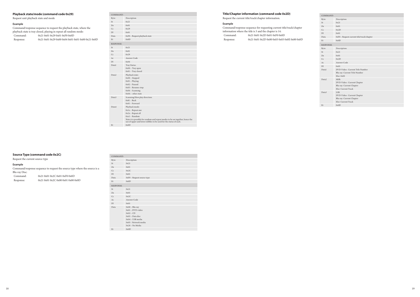| COMMAND:          |                                                                   |
|-------------------|-------------------------------------------------------------------|
| Byte:             | Description                                                       |
| St                | 0x21                                                              |
| $Z_{n}$           | 0x01                                                              |
| $C_{\mathcal{C}}$ | 0x2D                                                              |
| DI                | 0x01                                                              |
| Data              | 0xF0 - Request current title/track/chapter                        |
| Et                | 0x0D                                                              |
| <b>RESPONSE:</b>  |                                                                   |
| Byte:             | Description:                                                      |
| St                | 0x21                                                              |
| $Z_{n}$           | 0x01                                                              |
| $C_{\mathcal{C}}$ | 0x2D                                                              |
| Ac                | Answer Code                                                       |
| DI                | 0x03                                                              |
| Datal             | DVD-Video : Current Title Number<br>Blu-ray: Current Title Number |
|                   | Else: 0x00                                                        |
| Data <sub>2</sub> | MSB:                                                              |
|                   | DVD-Video: Current Chapter                                        |
|                   | Blu-ray: Current Chapter                                          |
|                   | Else: Current Track                                               |
| Data3             | LSB:<br>DVD-Video: Current Chapter                                |
|                   | Blu-ray: Current Chapter                                          |
|                   | Else: Current Track                                               |
| Et                | 0x0D                                                              |
|                   |                                                                   |

## **Title/Chapter information (command code 0x2D)**

Request the current title/track/chapter information.

#### **Example**

| Command/response sequence for requesting current title/track/chapter |                                              |  |  |
|----------------------------------------------------------------------|----------------------------------------------|--|--|
| information where the title is 3 and the chapter is 14:              |                                              |  |  |
| Command:                                                             | 0x210x010x2D0x010xF00x0D                     |  |  |
| Response:                                                            | 0x21 0x01 0x2D 0x00 0x03 0x03 0x0E 0x00 0x0D |  |  |

| COMMAND:          |                                                                                                                                                                                                                                      |
|-------------------|--------------------------------------------------------------------------------------------------------------------------------------------------------------------------------------------------------------------------------------|
| Byte:             | Description                                                                                                                                                                                                                          |
| St                | 0x21                                                                                                                                                                                                                                 |
| Zn                | 0x01                                                                                                                                                                                                                                 |
| $C_{\mathcal{C}}$ | 0x29                                                                                                                                                                                                                                 |
| D1                | 0x01                                                                                                                                                                                                                                 |
| Data              | 0xF0 - Request playback state                                                                                                                                                                                                        |
| Et                | 0x0D                                                                                                                                                                                                                                 |
| <b>RESPONSE:</b>  |                                                                                                                                                                                                                                      |
| <b>St</b>         | 0x21                                                                                                                                                                                                                                 |
| $Z_{n}$           | 0x01                                                                                                                                                                                                                                 |
| $C_{\mathcal{C}}$ | 0x29                                                                                                                                                                                                                                 |
| Ac                | Answer Code                                                                                                                                                                                                                          |
| D1                | 0x04                                                                                                                                                                                                                                 |
| Datal             | Tray Status:<br>$0x00$ – Tray open<br>$0x01$ – Tray closed                                                                                                                                                                           |
| Data2             | Playback state:<br>$0x00 - Stopped$<br>$0x01 -$ Playing<br>$0x02$ – Paused<br>$0x03$ – Resume-stop<br>$0x04 - Scanning$<br>$0x0A - other state$                                                                                      |
| Data3             | Scanning/Slow play direction:<br>$0x81 - Back$<br>$0x01 - Forward$                                                                                                                                                                   |
| Data4             | Playback mode:<br>$0x1x$ – Repeat one<br>$0x2x$ – Repeat all<br>$0xx1 - Random$<br>Note it is possible for random and repeat modes to be on together, hence the<br>use of upper and lower nibbles to be used for the status of each. |
| Et                | 0x0D                                                                                                                                                                                                                                 |
|                   |                                                                                                                                                                                                                                      |

| COMMAND:         |                                                                                                                                                 |
|------------------|-------------------------------------------------------------------------------------------------------------------------------------------------|
| Byte:            | Description                                                                                                                                     |
| St               | 0x21                                                                                                                                            |
| Zn               | 0x01                                                                                                                                            |
| Cc               | 0x2C                                                                                                                                            |
| DI               | 0x01                                                                                                                                            |
| Data             | 0xF0 - Request source type                                                                                                                      |
| Et               | 0x0D                                                                                                                                            |
| <b>RESPONSE:</b> |                                                                                                                                                 |
| St               | 0x21                                                                                                                                            |
| $Z_{n}$          | 0x01                                                                                                                                            |
| Cc               | 0x2C                                                                                                                                            |
| Ac               | Answer Code                                                                                                                                     |
| DI               | 0x01                                                                                                                                            |
| Data             | $0x00 - Blu-ray$<br>$0x01 - DVD$ -video<br>$0x02 - CD$<br>$0x03 - Data disc$<br>$0x04 - USB$ media<br>$0x05$ - Network media<br>0x20 - No Media |
| Et               | 0x0D                                                                                                                                            |

## **Playback state/mode (command code 0x29)**

Request unit playback state and mode

## **Example**

Command/response sequence to request the playback state, where the playback state is tray closed, playing in repeat all random mode: Command: 0x21 0x01 0x29 0x01 0xF0 0x0D Response: 0x21 0x01 0x29 0x00 0x04 0x01 0x01 0x00 0x21 0x0D

## **Source Type (command code 0x2C)**

Request the current source type

## **Example**

Command/response sequence to request the source type where the source is a Blu-ray Disc:

| Command:  | 0x210x010x2C0x010xF00x0D     |
|-----------|------------------------------|
| Response: | 0x210x010x2C0x000x010x000x0D |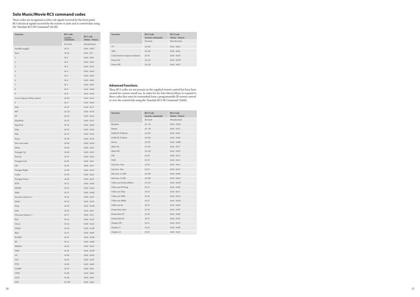| <b>Function</b>              | RC5 code<br>[system- | RC5 code        |
|------------------------------|----------------------|-----------------|
|                              | command]             | (Datal - Data2) |
|                              | Decimal              | Hexadecimal     |
| Standby (toggle)             | $16 - 12$            | $0x10 - 0x0C$   |
| Eject                        | $16 - 45$            | $0x10 - 2D$     |
| $\mathbf 1$                  | $16-1$               | $0x10 - 0x01$   |
| $\overline{2}$               | $16 - 2$             | $0x10 - 0x02$   |
| 3                            | $16 - 3$             | $0x10 - 0x03$   |
| $\overline{4}$               | $16 - 4$             | $0x10 - 0x04$   |
| 5                            | $16 - 5$             | $0x10 - 0x05$   |
| 6                            | $16 - 6$             | $0x10 - 0x06$   |
| 7                            | $16 - 7$             | $0x10 - 0x07$   |
| 8                            | $16 - 8$             | $0x10 - 0x08$   |
| 9                            | $16-9$               | $0x10 - 0x09$   |
| Access Lipsync Delay control | $16 - 50$            | $0x10 - 0x32$   |
| $\boldsymbol{0}$             | $16 - 0$             | $0x10 - 0x00$   |
| Info                         | $16 - 55$            | $0x10 - 0x37$   |
| <b>RW</b>                    | $16 - 121$           | $0x10 - 0x79$   |
| FF                           | $16 - 52$            | $0x10 - 0x34$   |
| Skip Back                    | $16 - 33$            | $0x10 - 0x21$   |
| Skip Fwd                     | $16 - 10$            | $0x10 - 0x0A$   |
| Stop                         | $16 - 54$            | $0x10 - 0x36$   |
| Play                         | $16 - 53$            | $0x10 - 0x35$   |
| Pause                        | $16 - 48$            | $0x10 - 0x30$   |
| Disc (not used)              | 16-90                | $0x10 - 0x5A$   |
| Menu                         | $16 - 66$            | $0x10 - 0x42$   |
| Navigate Up                  | $16 - 86$            | $0x10 - 0x56$   |
| Pop Up                       | $16 - 67$            | $0x10 - 0x43$   |
| Navigate Left                | $16 - 81$            | $0x10 - 0x51$   |
| OK                           | $16 - 87$            | $0x10 - 0x57$   |
| Navigate Right               | $16 - 80$            | $0x10 - 0x50$   |
| Audio                        | $16 - 69$            | $0x10 - 0x45$   |
| Navigate Down                | $16 - 85$            | $0x10 - 0x55$   |
| <b>RTN</b>                   | $16 - 72$            | $0x10 - 0x48$   |
| <b>HOME</b>                  | $16 - 74$            | $0x10 - 0x4A$   |
| Mute                         | $16-13$              | $0x10 - 0x0D$   |
| Increase volume (+)          | $16 - 16$            | $0x10 - 0x10$   |
| Mode                         | $16 - 32$            | $0x10 - 0x20$   |
| Disp                         | $16 - 59$            | $0x10 - 0x3B$   |
| Subt                         | $16 - 65$            | $0x10 - 0x41$   |
| Decrease volume (-)          | $16-17$              | $0x10 - 0x11$   |
| Red                          | $16 - 41$            | $0x10 - 0x29$   |
| Green                        | $16 - 42$            | $0x10 - 0x2A$   |
| Yellow                       | $16 - 43$            | $0x10 - 0x2B$   |
| Blue                         | $16 - 15$            | $0x10 - 0x0F$   |
| RADIO                        | 16-91                | $0x10 - 0x5B$   |
| BT                           | $16 - 11$            | $0x10 - 0x0B$   |
| MEDIA                        | $16 - 92$            | $0x10 - 0x5C$   |
| <b>DISC</b>                  | 16-93                | $0x10 - 0x5D$   |
| $\operatorname{AV}$          | 16-94                | $0x10 - 0x5E$   |
| SAT                          | 16-95                | $0x10 - 0x5F$   |
| <b>PVR</b>                   | 16-96                | $0x10 - 0x60$   |
| GAME                         | 16-97                | $0x10 - 0x61$   |
| <b>LINE</b>                  | 16-98                | $0x10 - 0x62$   |
| $\rm{AUX}$                   | 16-99                | $0x10 - 0x63$   |
| <b>STB</b>                   | $16 - 100$           | $0x10 - 0x64$   |

## **Solo Music/Movie RC5 command codes**

These codes are recognised as infra-red signals received by the front panel, RC5 electrical signals received by the remote in jacks and as control data using the 'Simulate RC5 IR Command' (0x 08).

## **Advanced Functions**

These RC5 codes are not present on the supplied remote control but have been created for custom install use. In order for the Solo Movie/Music to respond to these codes they must be transmitted from a programmable IR remote control or over the control link using the 'Simulate RC5 IR Command' (0x08).

| <b>Function</b>          | <b>RC5 Code</b><br>[system-command] | <b>RC5 Code</b><br>(Data1 - Data2) |
|--------------------------|-------------------------------------|------------------------------------|
|                          | Decimal                             | Hexadecimal                        |
| Random                   | $16 - 56$                           | $0x10 - 0x38$                      |
| Repeat                   | $16 - 49$                           | $0x10 - 0x31$                      |
| Dolby PL II Movie        | $16 - 103$                          | $0x10 - 0x67$                      |
| Dolby PL II Music        | $16 - 104$                          | $0x10 - 0x68$                      |
| Stereo                   | $16 - 107$                          | $0x10 - 0x6B$                      |
| Mute On                  | 16-119                              | $0x10 - 0x77$                      |
| Mute Off                 | $16 - 120$                          | $0x10 - 0x78$                      |
| <b>FM</b>                | $16 - 18$                           | $0x10 - 0x12$                      |
| DAB                      | $16-19$                             | $0x10 - 0x13$                      |
| Lip Sync +5ms            | $16 - 20$                           | $0x10 - 0x14$                      |
| Lip sync -5ms            | $16 - 21$                           | $0x10 - 0x15$                      |
| $Sub trim + 0.5dB$       | $16 - 105$                          | $0x10 - 0x69$                      |
| Sub trim -0.5dB          | $16 - 108$                          | $0x10 - 0x6C$                      |
| Video out Preferred/Best | $16 - 125$                          | $0x10 - 0x7D$                      |
| Video out SD Prog        | $16 - 73$                           | $0x10 - 0x49$                      |
| Video out 720p           | $16 - 23$                           | $0x10 - 0x17$                      |
| Video out 1080i          | $16 - 26$                           | $0x10 - 0x1A$                      |
| Video out 1080p          | $16 - 27$                           | $0x10 - 0x1B$                      |
| Video out 4k             | $16 - 76$                           | $0x10 - 0x4C$                      |
| Frame Rate Auto          | $16 - 63$                           | $0x10 - 0x3F$                      |
| Frame Rate 50            | $16 - 64$                           | $0x10 - 0x40$                      |
| Frame Rate 60            | $16 - 57$                           | $0x10 - 0x39$                      |
| Display Off              | $16-31$                             | $0x10 - 0x1F$                      |
| Display L1               | $16 - 62$                           | $0x10 - 0x3E$                      |
| Display L2               | $16 - 35$                           | $0x10 - 0x23$                      |

| <b>Function</b>                 | RC5 Code<br>[system-command] | RC5 Code<br>$(Datal - Data2)$ |
|---------------------------------|------------------------------|-------------------------------|
|                                 | Decimal                      | Hexadecimal                   |
| TV                              | $16 - 101$                   | $0x10 - 0x65$                 |
| ARC                             | $16 - 102$                   | $0x10 - 0x66$                 |
| Cycle between output resolutons | $16 - 47$                    | $0x10 - 0x2F$                 |
| Power On                        | $16 - 123$                   | $0x10 - 0x7B$                 |
| Power Off                       | $16 - 124$                   | $0x10 - 0x7C$                 |